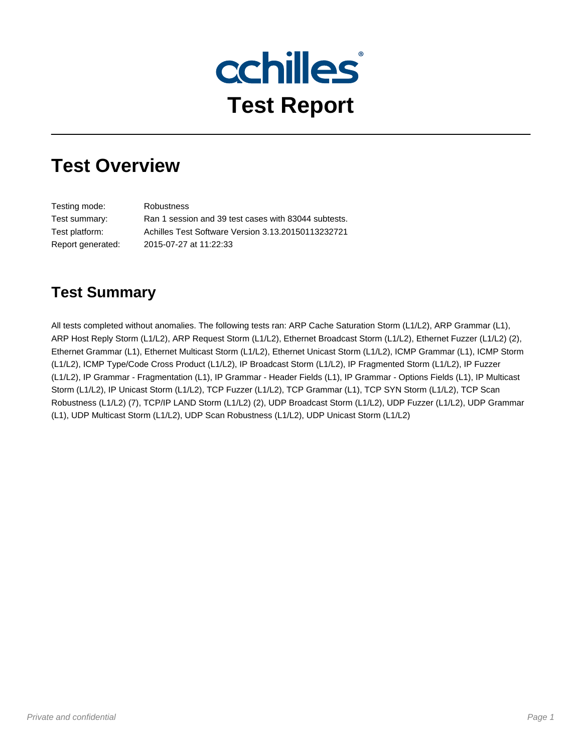

## **Test Overview**

Testing mode: Robustness Test summary: Ran 1 session and 39 test cases with 83044 subtests. Test platform: Achilles Test Software Version 3.13.20150113232721 Report generated: 2015-07-27 at 11:22:33

### **Test Summary**

All tests completed without anomalies. The following tests ran: ARP Cache Saturation Storm (L1/L2), ARP Grammar (L1), ARP Host Reply Storm (L1/L2), ARP Request Storm (L1/L2), Ethernet Broadcast Storm (L1/L2), Ethernet Fuzzer (L1/L2) (2), Ethernet Grammar (L1), Ethernet Multicast Storm (L1/L2), Ethernet Unicast Storm (L1/L2), ICMP Grammar (L1), ICMP Storm (L1/L2), ICMP Type/Code Cross Product (L1/L2), IP Broadcast Storm (L1/L2), IP Fragmented Storm (L1/L2), IP Fuzzer (L1/L2), IP Grammar - Fragmentation (L1), IP Grammar - Header Fields (L1), IP Grammar - Options Fields (L1), IP Multicast Storm (L1/L2), IP Unicast Storm (L1/L2), TCP Fuzzer (L1/L2), TCP Grammar (L1), TCP SYN Storm (L1/L2), TCP Scan Robustness (L1/L2) (7), TCP/IP LAND Storm (L1/L2) (2), UDP Broadcast Storm (L1/L2), UDP Fuzzer (L1/L2), UDP Grammar (L1), UDP Multicast Storm (L1/L2), UDP Scan Robustness (L1/L2), UDP Unicast Storm (L1/L2)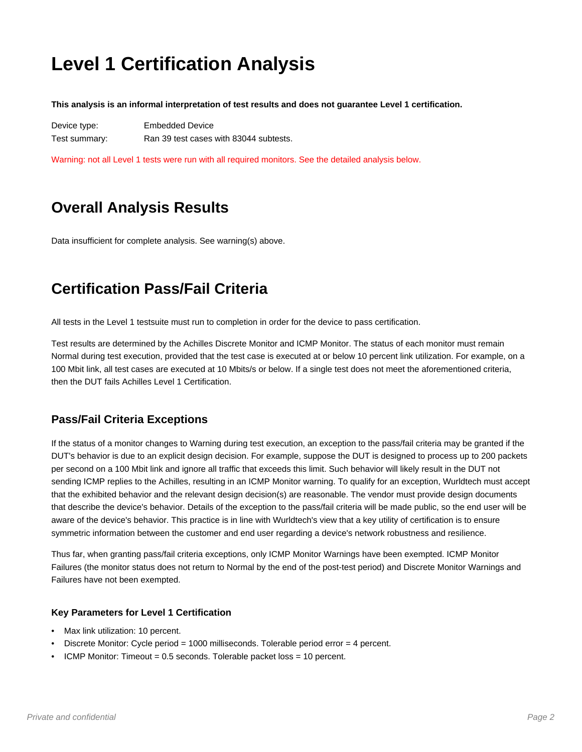## **Level 1 Certification Analysis**

**This analysis is an informal interpretation of test results and does not guarantee Level 1 certification.**

Device type: Embedded Device Test summary: Ran 39 test cases with 83044 subtests.

Warning: not all Level 1 tests were run with all required monitors. See the detailed analysis below.

## **Overall Analysis Results**

Data insufficient for complete analysis. See warning(s) above.

### **Certification Pass/Fail Criteria**

All tests in the Level 1 testsuite must run to completion in order for the device to pass certification.

Test results are determined by the Achilles Discrete Monitor and ICMP Monitor. The status of each monitor must remain Normal during test execution, provided that the test case is executed at or below 10 percent link utilization. For example, on a 100 Mbit link, all test cases are executed at 10 Mbits/s or below. If a single test does not meet the aforementioned criteria, then the DUT fails Achilles Level 1 Certification.

#### **Pass/Fail Criteria Exceptions**

If the status of a monitor changes to Warning during test execution, an exception to the pass/fail criteria may be granted if the DUT's behavior is due to an explicit design decision. For example, suppose the DUT is designed to process up to 200 packets per second on a 100 Mbit link and ignore all traffic that exceeds this limit. Such behavior will likely result in the DUT not sending ICMP replies to the Achilles, resulting in an ICMP Monitor warning. To qualify for an exception, Wurldtech must accept that the exhibited behavior and the relevant design decision(s) are reasonable. The vendor must provide design documents that describe the device's behavior. Details of the exception to the pass/fail criteria will be made public, so the end user will be aware of the device's behavior. This practice is in line with Wurldtech's view that a key utility of certification is to ensure symmetric information between the customer and end user regarding a device's network robustness and resilience.

Thus far, when granting pass/fail criteria exceptions, only ICMP Monitor Warnings have been exempted. ICMP Monitor Failures (the monitor status does not return to Normal by the end of the post-test period) and Discrete Monitor Warnings and Failures have not been exempted.

#### **Key Parameters for Level 1 Certification**

- Max link utilization: 10 percent.
- Discrete Monitor: Cycle period = 1000 milliseconds. Tolerable period error = 4 percent.
- ICMP Monitor: Timeout = 0.5 seconds. Tolerable packet loss = 10 percent.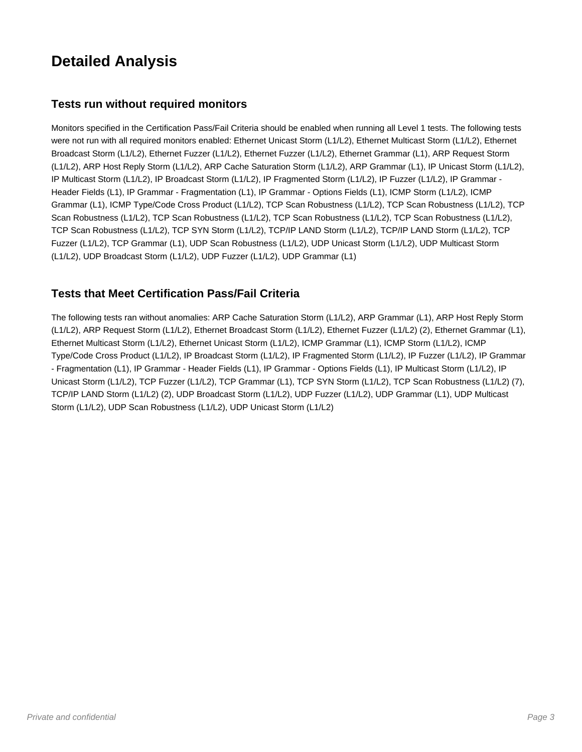### **Detailed Analysis**

#### **Tests run without required monitors**

Monitors specified in the Certification Pass/Fail Criteria should be enabled when running all Level 1 tests. The following tests were not run with all required monitors enabled: Ethernet Unicast Storm (L1/L2), Ethernet Multicast Storm (L1/L2), Ethernet Broadcast Storm (L1/L2), Ethernet Fuzzer (L1/L2), Ethernet Fuzzer (L1/L2), Ethernet Grammar (L1), ARP Request Storm (L1/L2), ARP Host Reply Storm (L1/L2), ARP Cache Saturation Storm (L1/L2), ARP Grammar (L1), IP Unicast Storm (L1/L2), IP Multicast Storm (L1/L2), IP Broadcast Storm (L1/L2), IP Fragmented Storm (L1/L2), IP Fuzzer (L1/L2), IP Grammar - Header Fields (L1), IP Grammar - Fragmentation (L1), IP Grammar - Options Fields (L1), ICMP Storm (L1/L2), ICMP Grammar (L1), ICMP Type/Code Cross Product (L1/L2), TCP Scan Robustness (L1/L2), TCP Scan Robustness (L1/L2), TCP Scan Robustness (L1/L2), TCP Scan Robustness (L1/L2), TCP Scan Robustness (L1/L2), TCP Scan Robustness (L1/L2), TCP Scan Robustness (L1/L2), TCP SYN Storm (L1/L2), TCP/IP LAND Storm (L1/L2), TCP/IP LAND Storm (L1/L2), TCP Fuzzer (L1/L2), TCP Grammar (L1), UDP Scan Robustness (L1/L2), UDP Unicast Storm (L1/L2), UDP Multicast Storm (L1/L2), UDP Broadcast Storm (L1/L2), UDP Fuzzer (L1/L2), UDP Grammar (L1)

#### **Tests that Meet Certification Pass/Fail Criteria**

The following tests ran without anomalies: ARP Cache Saturation Storm (L1/L2), ARP Grammar (L1), ARP Host Reply Storm (L1/L2), ARP Request Storm (L1/L2), Ethernet Broadcast Storm (L1/L2), Ethernet Fuzzer (L1/L2) (2), Ethernet Grammar (L1), Ethernet Multicast Storm (L1/L2), Ethernet Unicast Storm (L1/L2), ICMP Grammar (L1), ICMP Storm (L1/L2), ICMP Type/Code Cross Product (L1/L2), IP Broadcast Storm (L1/L2), IP Fragmented Storm (L1/L2), IP Fuzzer (L1/L2), IP Grammar - Fragmentation (L1), IP Grammar - Header Fields (L1), IP Grammar - Options Fields (L1), IP Multicast Storm (L1/L2), IP Unicast Storm (L1/L2), TCP Fuzzer (L1/L2), TCP Grammar (L1), TCP SYN Storm (L1/L2), TCP Scan Robustness (L1/L2) (7), TCP/IP LAND Storm (L1/L2) (2), UDP Broadcast Storm (L1/L2), UDP Fuzzer (L1/L2), UDP Grammar (L1), UDP Multicast Storm (L1/L2), UDP Scan Robustness (L1/L2), UDP Unicast Storm (L1/L2)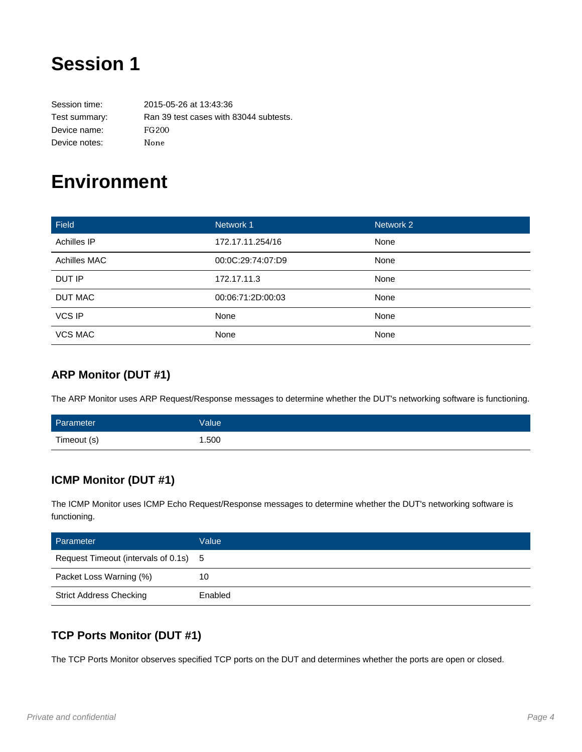## **Session 1**

Session time: 2015-05-26 at 13:43:36 Test summary: Ran 39 test cases with 83044 subtests. Device name: FG200 Device notes: None

## **Environment**

| Field          | Network 1         | Network 2 |
|----------------|-------------------|-----------|
| Achilles IP    | 172.17.11.254/16  | None      |
| Achilles MAC   | 00:0C:29:74:07:D9 | None      |
| DUT IP         | 172.17.11.3       | None      |
| <b>DUT MAC</b> | 00:06:71:2D:00:03 | None      |
| <b>VCS IP</b>  | None              | None      |
| <b>VCS MAC</b> | None              | None      |

#### **ARP Monitor (DUT #1)**

The ARP Monitor uses ARP Request/Response messages to determine whether the DUT's networking software is functioning.

| Parameter   | Value <sup>1</sup> |
|-------------|--------------------|
| Timeout (s) | 1.500              |

### **ICMP Monitor (DUT #1)**

The ICMP Monitor uses ICMP Echo Request/Response messages to determine whether the DUT's networking software is functioning.

| Parameter                             | Value   |
|---------------------------------------|---------|
| Request Timeout (intervals of 0.1s) 5 |         |
| Packet Loss Warning (%)               | 10      |
| <b>Strict Address Checking</b>        | Enabled |

### **TCP Ports Monitor (DUT #1)**

The TCP Ports Monitor observes specified TCP ports on the DUT and determines whether the ports are open or closed.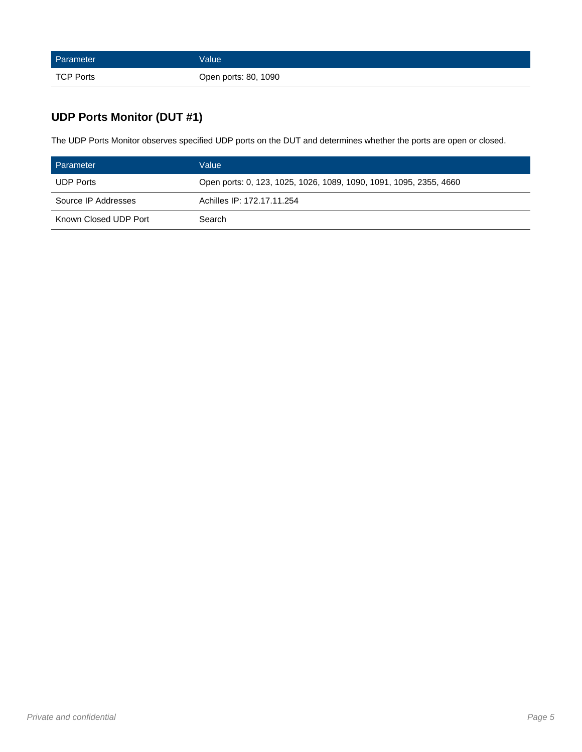| Parameter        | <b>Value</b>         |
|------------------|----------------------|
| <b>TCP Ports</b> | Open ports: 80, 1090 |

### **UDP Ports Monitor (DUT #1)**

The UDP Ports Monitor observes specified UDP ports on the DUT and determines whether the ports are open or closed.

| Parameter             | Value                                                              |
|-----------------------|--------------------------------------------------------------------|
| <b>UDP Ports</b>      | Open ports: 0, 123, 1025, 1026, 1089, 1090, 1091, 1095, 2355, 4660 |
| Source IP Addresses   | Achilles IP: 172.17.11.254                                         |
| Known Closed UDP Port | Search                                                             |